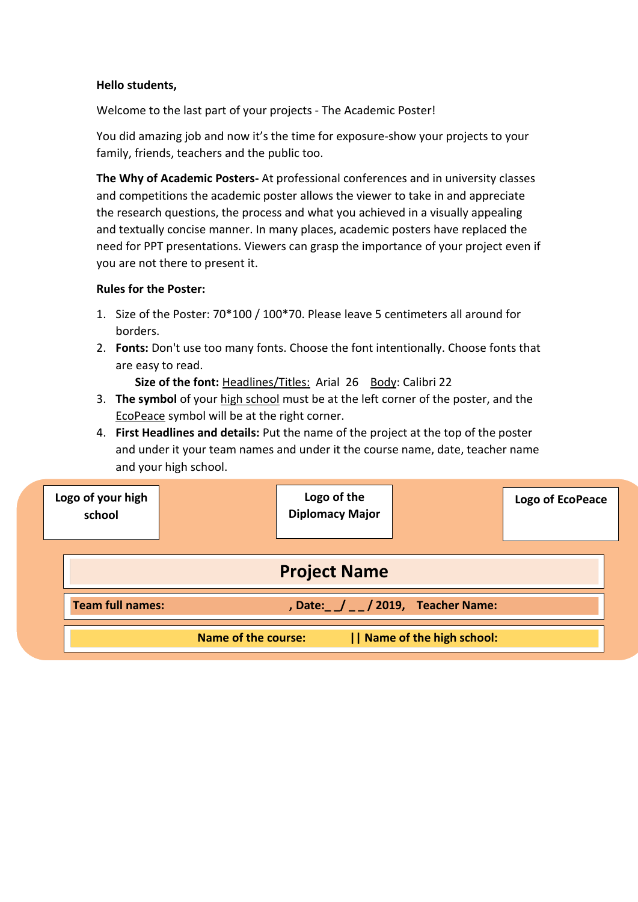## **Hello students,**

Welcome to the last part of your projects - The Academic Poster!

You did amazing job and now it's the time for exposure-show your projects to your family, friends, teachers and the public too.

**The Why of Academic Posters-** At professional conferences and in university classes and competitions the academic poster allows the viewer to take in and appreciate the research questions, the process and what you achieved in a visually appealing and textually concise manner. In many places, academic posters have replaced the need for PPT presentations. Viewers can grasp the importance of your project even if you are not there to present it.

## **Rules for the Poster:**

- 1. Size of the Poster: 70\*100 / 100\*70. Please leave 5 centimeters all around for borders.
- 2. **Fonts:** Don't use too many fonts. Choose the font intentionally. Choose fonts that are easy to read.

**Size of the font: Headlines/Titles: Arial 26 Body: Calibri 22** 

- 3. **The symbol** of your high school must be at the left corner of the poster, and the EcoPeace symbol will be at the right corner.
- 4. **First Headlines and details:** Put the name of the project at the top of the poster and under it your team names and under it the course name, date, teacher name and your high school.